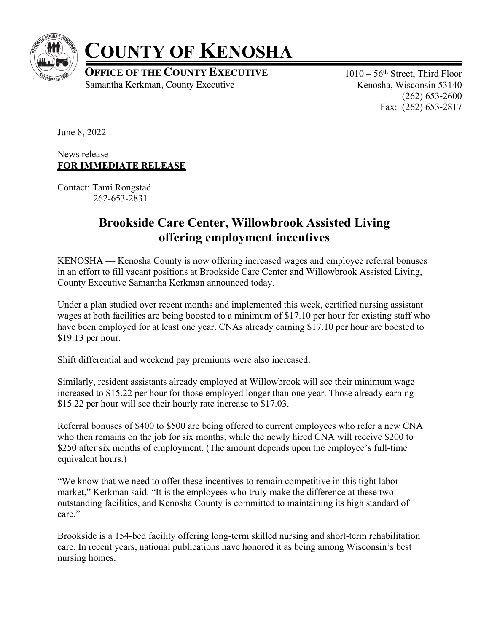

## **COUNTY OF KENOSHA**

**OFFICE OF THE COUNTY EXECUTIVE** Samantha Kerkman, County Executive

 $1010 - 56$ <sup>th</sup> Street, Third Floor Kenosha, Wisconsin 53140 (262) 653-2600 Fax: (262) 653-2817

June 8, 2022

News release **FOR IMMEDIATE RELEASE**

Contact: Tami Rongstad 262-653-2831

## **Brookside Care Center, Willowbrook Assisted Living offering employment incentives**

KENOSHA — Kenosha County is now offering increased wages and employee referral bonuses in an effort to fill vacant positions at Brookside Care Center and Willowbrook Assisted Living, County Executive Samantha Kerkman announced today.

Under a plan studied over recent months and implemented this week, certified nursing assistant wages at both facilities are being boosted to a minimum of \$17.10 per hour for existing staff who have been employed for at least one year. CNAs already earning \$17.10 per hour are boosted to \$19.13 per hour.

Shift differential and weekend pay premiums were also increased.

Similarly, resident assistants already employed at Willowbrook will see their minimum wage increased to \$15.22 per hour for those employed longer than one year. Those already earning \$15.22 per hour will see their hourly rate increase to \$17.03.

Referral bonuses of \$400 to \$500 are being offered to current employees who refer a new CNA who then remains on the job for six months, while the newly hired CNA will receive \$200 to \$250 after six months of employment. (The amount depends upon the employee's full-time equivalent hours.)

"We know that we need to offer these incentives to remain competitive in this tight labor market," Kerkman said. "It is the employees who truly make the difference at these two outstanding facilities, and Kenosha County is committed to maintaining its high standard of care."

Brookside is a 154-bed facility offering long-term skilled nursing and short-term rehabilitation care. In recent years, national publications have honored it as being among Wisconsin's best nursing homes.